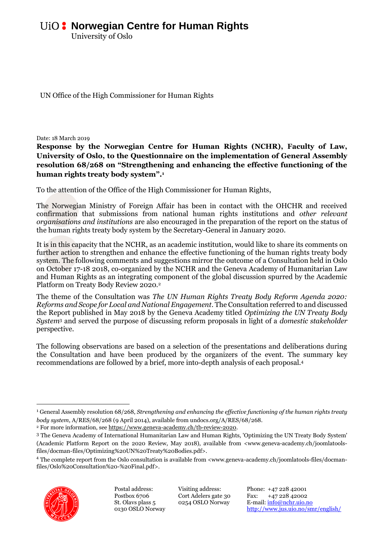University of Oslo

UN Office of the High Commissioner for Human Rights

Date: 18 March 2019

**Response by the Norwegian Centre for Human Rights (NCHR), Faculty of Law, University of Oslo, to the Questionnaire on the implementation of General Assembly resolution 68/268 on "Strengthening and enhancing the effective functioning of the human rights treaty body system".<sup>1</sup>**

To the attention of the Office of the High Commissioner for Human Rights,

The Norwegian Ministry of Foreign Affair has been in contact with the OHCHR and received confirmation that submissions from national human rights institutions and *other relevant organisations and institutions* are also encouraged in the preparation of the report on the status of the human rights treaty body system by the Secretary-General in January 2020.

It is in this capacity that the NCHR, as an academic institution, would like to share its comments on further action to strengthen and enhance the effective functioning of the human rights treaty body system. The following comments and suggestions mirror the outcome of a Consultation held in Oslo on October 17-18 2018, co-organized by the NCHR and the Geneva Academy of Humanitarian Law and Human Rights as an integrating component of the global discussion spurred by the Academic Platform on Treaty Body Review 2020.<sup>2</sup>

The theme of the Consultation was *The UN Human Rights Treaty Body Reform Agenda 2020: Reforms and Scope for Local and National Engagement*. The Consultation referred to and discussed the Report published in May 2018 by the Geneva Academy titled *Optimizing the UN Treaty Body System*<sup>3</sup> and served the purpose of discussing reform proposals in light of a *domestic stakeholder*  perspective.

The following observations are based on a selection of the presentations and deliberations during the Consultation and have been produced by the organizers of the event. The summary key recommendations are followed by a brief, more into-depth analysis of each proposal.<sup>4</sup>

<sup>4</sup> The complete report from the Oslo consultation is available from <www.geneva-academy.ch/joomlatools-files/docmanfiles/Oslo%20Consultation%20-%20Final.pdf>.



1

Visiting address: Cort Adelers gate 30 0254 OSLO Norway

Phone: +47 228 42001 Fax: +47 228 42002 E-mail[: info@nchr.uio.no](file://///kant/jus-smr-felles/group/Internasjonal%20Avdeling/MR-mekanismer/2019/Innspill%20til%20TB-review/info@nchr.uio.no) <http://www.jus.uio.no/smr/english/>

<sup>1</sup> General Assembly resolution 68/268, *Strengthening and enhancing the effective functioning of the human rights treaty body system*, A/RES/68/268 (9 April 2014), available from undocs.org/A/RES/68/268.

<sup>2</sup> For more information, se[e https://www.geneva-academy.ch/tb-review-2020.](https://www.geneva-academy.ch/tb-review-2020) 

<sup>3</sup> The Geneva Academy of International Humanitarian Law and Human Rights, 'Optimizing the UN Treaty Body System' (Academic Platform Report on the 2020 Review, May 2018), available from <www.geneva-academy.ch/joomlatoolsfiles/docman-files/Optimizing%20UN%20Treaty%20Bodies.pdf>.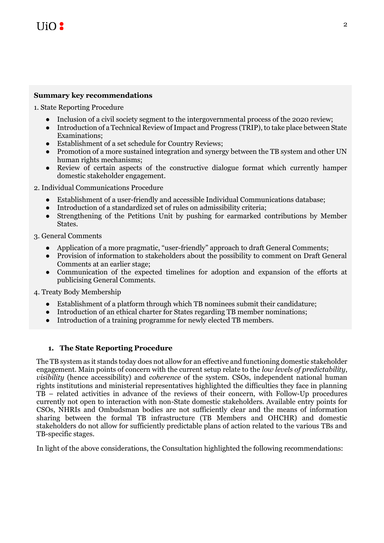## **Summary key recommendations**

1. State Reporting Procedure

- Inclusion of a civil society segment to the intergovernmental process of the 2020 review;
- Introduction of a Technical Review of Impact and Progress (TRIP), to take place between State Examinations;
- Establishment of a set schedule for Country Reviews;
- Promotion of a more sustained integration and synergy between the TB system and other UN human rights mechanisms;
- Review of certain aspects of the constructive dialogue format which currently hamper domestic stakeholder engagement.

2. Individual Communications Procedure

- Establishment of a user-friendly and accessible Individual Communications database;
- Introduction of a standardized set of rules on admissibility criteria;
- Strengthening of the Petitions Unit by pushing for earmarked contributions by Member States.

3. General Comments

- Application of a more pragmatic, "user-friendly" approach to draft General Comments;
- Provision of information to stakeholders about the possibility to comment on Draft General Comments at an earlier stage;
- Communication of the expected timelines for adoption and expansion of the efforts at publicising General Comments.

4. Treaty Body Membership

- Establishment of a platform through which TB nominees submit their candidature;
- Introduction of an ethical charter for States regarding TB member nominations;
- Introduction of a training programme for newly elected TB members.

## **1. The State Reporting Procedure**

The TB system as it stands today does not allow for an effective and functioning domestic stakeholder engagement. Main points of concern with the current setup relate to the *low levels of predictability*, *visibility* (hence accessibility) and *coherence* of the system. CSOs, independent national human rights institutions and ministerial representatives highlighted the difficulties they face in planning TB – related activities in advance of the reviews of their concern, with Follow-Up procedures currently not open to interaction with non-State domestic stakeholders. Available entry points for CSOs, NHRIs and Ombudsman bodies are not sufficiently clear and the means of information sharing between the formal TB infrastructure (TB Members and OHCHR) and domestic stakeholders do not allow for sufficiently predictable plans of action related to the various TBs and TB-specific stages.

In light of the above considerations, the Consultation highlighted the following recommendations: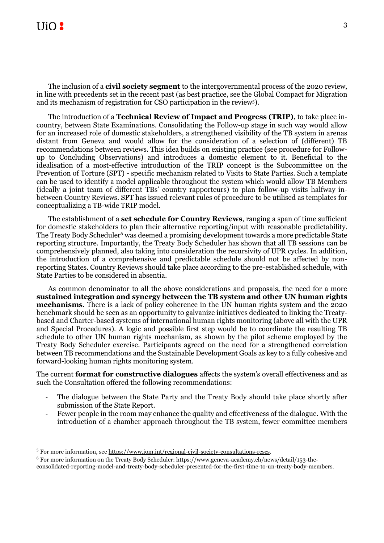# $\overline{\text{II}}$ io 2

**.** 

The inclusion of a **civil society segment** to the intergovernmental process of the 2020 review, in line with precedents set in the recent past (as best practice, see the Global Compact for Migration and its mechanism of registration for CSO participation in the review5).

The introduction of a **Technical Review of Impact and Progress (TRIP)**, to take place incountry, between State Examinations. Consolidating the Follow-up stage in such way would allow for an increased role of domestic stakeholders, a strengthened visibility of the TB system in arenas distant from Geneva and would allow for the consideration of a selection of (different) TB recommendations between reviews. This idea builds on existing practice (see procedure for Followup to Concluding Observations) and introduces a domestic element to it. Beneficial to the idealisation of a most-effective introduction of the TRIP concept is the Subcommittee on the Prevention of Torture (SPT) - specific mechanism related to Visits to State Parties. Such a template can be used to identify a model applicable throughout the system which would allow TB Members (ideally a joint team of different TBs' country rapporteurs) to plan follow-up visits halfway inbetween Country Reviews. SPT has issued relevant rules of procedure to be utilised as templates for conceptualizing a TB-wide TRIP model.

The establishment of a **set schedule for Country Reviews**, ranging a span of time sufficient for domestic stakeholders to plan their alternative reporting/input with reasonable predictability. The Treaty Body Scheduler<sup>6</sup> was deemed a promising development towards a more predictable State reporting structure. Importantly, the Treaty Body Scheduler has shown that all TB sessions can be comprehensively planned, also taking into consideration the recursivity of UPR cycles. In addition, the introduction of a comprehensive and predictable schedule should not be affected by nonreporting States. Country Reviews should take place according to the pre-established schedule, with State Parties to be considered in absentia.

As common denominator to all the above considerations and proposals, the need for a more **sustained integration and synergy between the TB system and other UN human rights mechanisms**. There is a lack of policy coherence in the UN human rights system and the 2020 benchmark should be seen as an opportunity to galvanize initiatives dedicated to linking the Treatybased and Charter-based systems of international human rights monitoring (above all with the UPR and Special Procedures). A logic and possible first step would be to coordinate the resulting TB schedule to other UN human rights mechanism, as shown by the pilot scheme employed by the Treaty Body Scheduler exercise. Participants agreed on the need for a strengthened correlation between TB recommendations and the Sustainable Development Goals as key to a fully cohesive and forward-looking human rights monitoring system.

The current **format for constructive dialogues** affects the system's overall effectiveness and as such the Consultation offered the following recommendations:

- The dialogue between the State Party and the Treaty Body should take place shortly after submission of the State Report.
- Fewer people in the room may enhance the quality and effectiveness of the dialogue. With the introduction of a chamber approach throughout the TB system, fewer committee members

<sup>&</sup>lt;sup>5</sup> For more information, se[e https://www.iom.int/regional-civil-society-consultations-rcscs.](https://www.iom.int/regional-civil-society-consultations-rcscs)

<sup>6</sup> For more information on the Treaty Body Scheduler: https://www.geneva-academy.ch/news/detail/153-theconsolidated-reporting-model-and-treaty-body-scheduler-presented-for-the-first-time-to-un-treaty-body-members.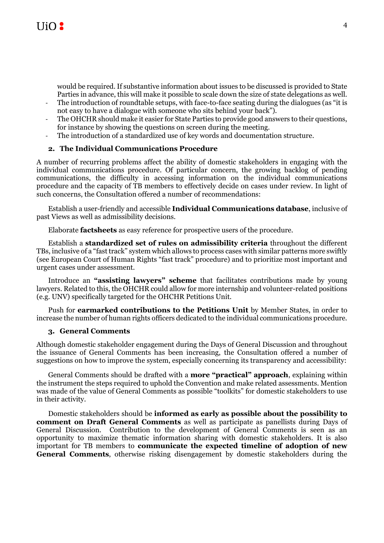

would be required. If substantive information about issues to be discussed is provided to State Parties in advance, this will make it possible to scale down the size of state delegations as well.

- The introduction of roundtable setups, with face-to-face seating during the dialogues (as "it is not easy to have a dialogue with someone who sits behind your back").
- The OHCHR should make it easier for State Parties to provide good answers to their questions, for instance by showing the questions on screen during the meeting.
- The introduction of a standardized use of key words and documentation structure.

### **2. The Individual Communications Procedure**

A number of recurring problems affect the ability of domestic stakeholders in engaging with the individual communications procedure. Of particular concern, the growing backlog of pending communications, the difficulty in accessing information on the individual communications procedure and the capacity of TB members to effectively decide on cases under review. In light of such concerns, the Consultation offered a number of recommendations:

Establish a user-friendly and accessible **Individual Communications database**, inclusive of past Views as well as admissibility decisions.

Elaborate **factsheets** as easy reference for prospective users of the procedure.

Establish a **standardized set of rules on admissibility criteria** throughout the different TBs, inclusive of a "fast track" system which allows to process cases with similar patterns more swiftly (see European Court of Human Rights "fast track" procedure) and to prioritize most important and urgent cases under assessment.

Introduce an **"assisting lawyers" scheme** that facilitates contributions made by young lawyers. Related to this, the OHCHR could allow for more internship and volunteer-related positions (e.g. UNV) specifically targeted for the OHCHR Petitions Unit.

Push for **earmarked contributions to the Petitions Unit** by Member States, in order to increase the number of human rights officers dedicated to the individual communications procedure.

#### **3. General Comments**

Although domestic stakeholder engagement during the Days of General Discussion and throughout the issuance of General Comments has been increasing, the Consultation offered a number of suggestions on how to improve the system, especially concerning its transparency and accessibility:

General Comments should be drafted with a **more "practical" approach**, explaining within the instrument the steps required to uphold the Convention and make related assessments. Mention was made of the value of General Comments as possible "toolkits" for domestic stakeholders to use in their activity.

Domestic stakeholders should be **informed as early as possible about the possibility to comment on Draft General Comments** as well as participate as panellists during Days of General Discussion. Contribution to the development of General Comments is seen as an opportunity to maximize thematic information sharing with domestic stakeholders. It is also important for TB members to **communicate the expected timeline of adoption of new General Comments**, otherwise risking disengagement by domestic stakeholders during the